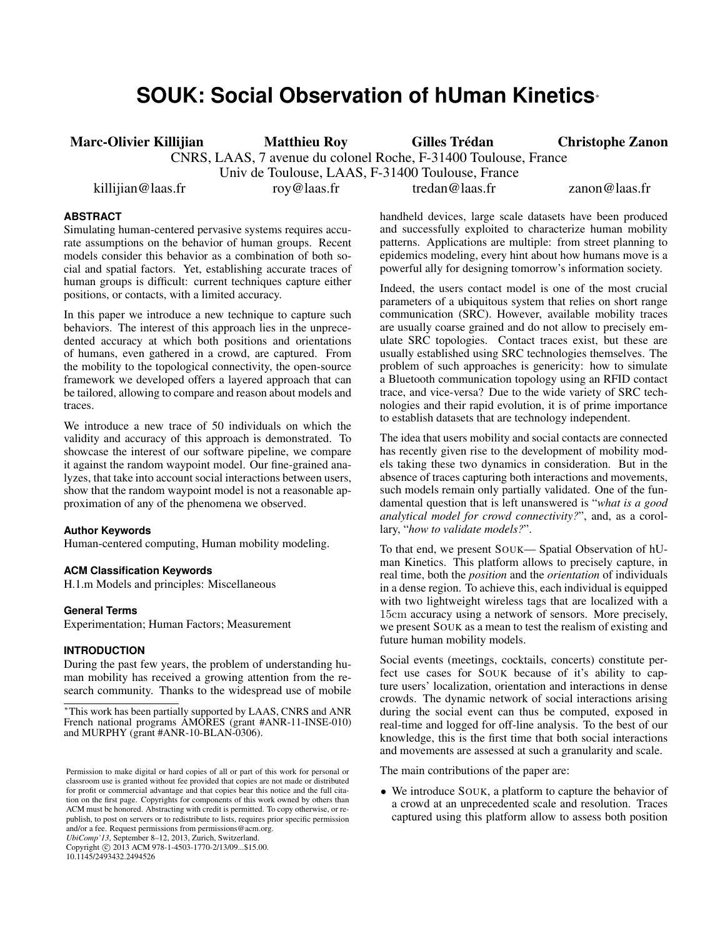# **SOUK: Social Observation of hUman Kinetics**<sup>∗</sup>

Marc-Olivier Killijian Matthieu Roy Gilles Tredan Christophe Zanon ´ CNRS, LAAS, 7 avenue du colonel Roche, F-31400 Toulouse, France Univ de Toulouse, LAAS, F-31400 Toulouse, France

killijian@laas.fr roy@laas.fr tredan@laas.fr zanon@laas.fr

# **ABSTRACT**

Simulating human-centered pervasive systems requires accurate assumptions on the behavior of human groups. Recent models consider this behavior as a combination of both social and spatial factors. Yet, establishing accurate traces of human groups is difficult: current techniques capture either positions, or contacts, with a limited accuracy.

In this paper we introduce a new technique to capture such behaviors. The interest of this approach lies in the unprecedented accuracy at which both positions and orientations of humans, even gathered in a crowd, are captured. From the mobility to the topological connectivity, the open-source framework we developed offers a layered approach that can be tailored, allowing to compare and reason about models and traces.

We introduce a new trace of 50 individuals on which the validity and accuracy of this approach is demonstrated. To showcase the interest of our software pipeline, we compare it against the random waypoint model. Our fine-grained analyzes, that take into account social interactions between users, show that the random waypoint model is not a reasonable approximation of any of the phenomena we observed.

#### **Author Keywords**

Human-centered computing, Human mobility modeling.

#### **ACM Classification Keywords**

H.1.m Models and principles: Miscellaneous

#### **General Terms**

Experimentation; Human Factors; Measurement

#### **INTRODUCTION**

During the past few years, the problem of understanding human mobility has received a growing attention from the research community. Thanks to the widespread use of mobile

*UbiComp'13*, September 8–12, 2013, Zurich, Switzerland.

Copyright © 2013 ACM 978-1-4503-1770-2/13/09...\$15.00. 10.1145/2493432.2494526

handheld devices, large scale datasets have been produced and successfully exploited to characterize human mobility patterns. Applications are multiple: from street planning to epidemics modeling, every hint about how humans move is a powerful ally for designing tomorrow's information society.

Indeed, the users contact model is one of the most crucial parameters of a ubiquitous system that relies on short range communication (SRC). However, available mobility traces are usually coarse grained and do not allow to precisely emulate SRC topologies. Contact traces exist, but these are usually established using SRC technologies themselves. The problem of such approaches is genericity: how to simulate a Bluetooth communication topology using an RFID contact trace, and vice-versa? Due to the wide variety of SRC technologies and their rapid evolution, it is of prime importance to establish datasets that are technology independent.

The idea that users mobility and social contacts are connected has recently given rise to the development of mobility models taking these two dynamics in consideration. But in the absence of traces capturing both interactions and movements, such models remain only partially validated. One of the fundamental question that is left unanswered is "*what is a good analytical model for crowd connectivity?*", and, as a corollary, "*how to validate models?*".

To that end, we present SOUK— Spatial Observation of hUman Kinetics. This platform allows to precisely capture, in real time, both the *position* and the *orientation* of individuals in a dense region. To achieve this, each individual is equipped with two lightweight wireless tags that are localized with a 15cm accuracy using a network of sensors. More precisely, we present SOUK as a mean to test the realism of existing and future human mobility models.

Social events (meetings, cocktails, concerts) constitute perfect use cases for SOUK because of it's ability to capture users' localization, orientation and interactions in dense crowds. The dynamic network of social interactions arising during the social event can thus be computed, exposed in real-time and logged for off-line analysis. To the best of our knowledge, this is the first time that both social interactions and movements are assessed at such a granularity and scale.

The main contributions of the paper are:

• We introduce SOUK, a platform to capture the behavior of a crowd at an unprecedented scale and resolution. Traces captured using this platform allow to assess both position

<sup>∗</sup>This work has been partially supported by LAAS, CNRS and ANR French national programs AMORES (grant #ANR-11-INSE-010) and MURPHY (grant #ANR-10-BLAN-0306).

Permission to make digital or hard copies of all or part of this work for personal or classroom use is granted without fee provided that copies are not made or distributed for profit or commercial advantage and that copies bear this notice and the full citation on the first page. Copyrights for components of this work owned by others than ACM must be honored. Abstracting with credit is permitted. To copy otherwise, or republish, to post on servers or to redistribute to lists, requires prior specific permission and/or a fee. Request permissions from permissions@acm.org.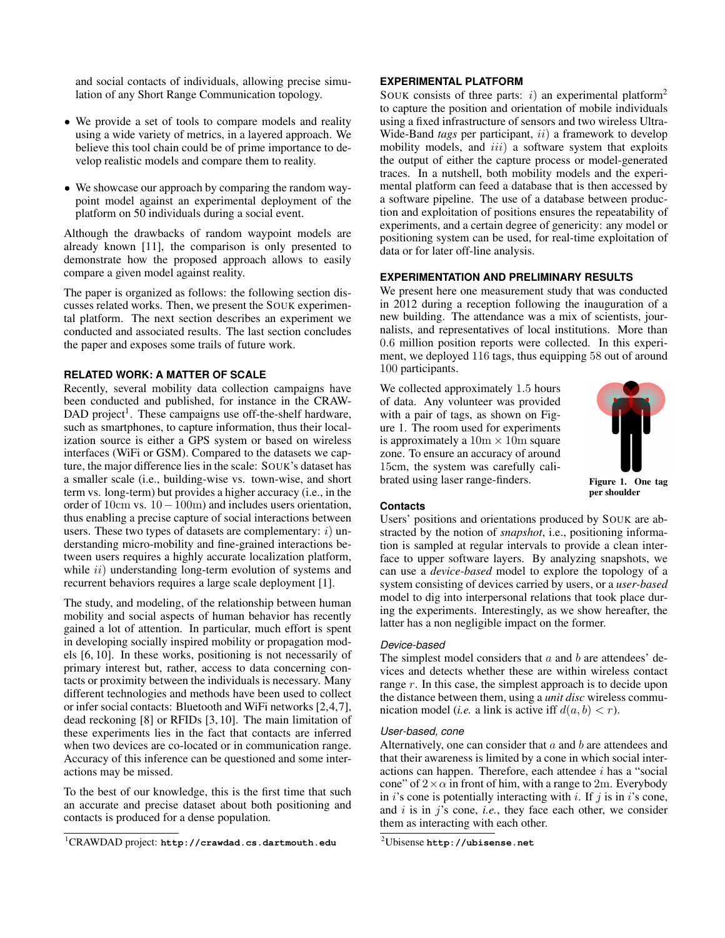and social contacts of individuals, allowing precise simulation of any Short Range Communication topology.

- We provide a set of tools to compare models and reality using a wide variety of metrics, in a layered approach. We believe this tool chain could be of prime importance to develop realistic models and compare them to reality.
- We showcase our approach by comparing the random waypoint model against an experimental deployment of the platform on 50 individuals during a social event.

Although the drawbacks of random waypoint models are already known [\[11\]](#page-3-0), the comparison is only presented to demonstrate how the proposed approach allows to easily compare a given model against reality.

The paper is organized as follows: the following section discusses related works. Then, we present the SOUK experimental platform. The next section describes an experiment we conducted and associated results. The last section concludes the paper and exposes some trails of future work.

### **RELATED WORK: A MATTER OF SCALE**

Recently, several mobility data collection campaigns have been conducted and published, for instance in the CRAW-DAD project<sup>[1](#page-1-0)</sup>. These campaigns use off-the-shelf hardware, such as smartphones, to capture information, thus their localization source is either a GPS system or based on wireless interfaces (WiFi or GSM). Compared to the datasets we capture, the major difference lies in the scale: SOUK's dataset has a smaller scale (i.e., building-wise vs. town-wise, and short term vs. long-term) but provides a higher accuracy (i.e., in the order of 10cm vs. 10−100m) and includes users orientation, thus enabling a precise capture of social interactions between users. These two types of datasets are complementary:  $i)$  understanding micro-mobility and fine-grained interactions between users requires a highly accurate localization platform, while  $ii)$  understanding long-term evolution of systems and recurrent behaviors requires a large scale deployment [\[1\]](#page-3-1).

The study, and modeling, of the relationship between human mobility and social aspects of human behavior has recently gained a lot of attention. In particular, much effort is spent in developing socially inspired mobility or propagation models [\[6,](#page-3-2) [10\]](#page-3-3). In these works, positioning is not necessarily of primary interest but, rather, access to data concerning contacts or proximity between the individuals is necessary. Many different technologies and methods have been used to collect or infer social contacts: Bluetooth and WiFi networks [\[2,](#page-3-4)[4,](#page-3-5)[7\]](#page-3-6), dead reckoning [\[8\]](#page-3-7) or RFIDs [\[3,](#page-3-8) [10\]](#page-3-3). The main limitation of these experiments lies in the fact that contacts are inferred when two devices are co-located or in communication range. Accuracy of this inference can be questioned and some interactions may be missed.

To the best of our knowledge, this is the first time that such an accurate and precise dataset about both positioning and contacts is produced for a dense population.

### **EXPERIMENTAL PLATFORM**

SOUK consists of three parts:  $i)$  an experimental platform<sup>[2](#page-1-1)</sup> to capture the position and orientation of mobile individuals using a fixed infrastructure of sensors and two wireless Ultra-Wide-Band *tags* per participant, ii) a framework to develop mobility models, and  $iii$ ) a software system that exploits the output of either the capture process or model-generated traces. In a nutshell, both mobility models and the experimental platform can feed a database that is then accessed by a software pipeline. The use of a database between production and exploitation of positions ensures the repeatability of experiments, and a certain degree of genericity: any model or positioning system can be used, for real-time exploitation of data or for later off-line analysis.

#### **EXPERIMENTATION AND PRELIMINARY RESULTS**

We present here one measurement study that was conducted in 2012 during a reception following the inauguration of a new building. The attendance was a mix of scientists, journalists, and representatives of local institutions. More than 0.6 million position reports were collected. In this experiment, we deployed 116 tags, thus equipping 58 out of around 100 participants.

We collected approximately 1.5 hours of data. Any volunteer was provided with a pair of tags, as shown on Figure [1.](#page-1-2) The room used for experiments is approximately a  $10m \times 10m$  square zone. To ensure an accuracy of around 15cm, the system was carefully calibrated using laser range-finders.

<span id="page-1-2"></span>

#### **Contacts**

Users' positions and orientations produced by SOUK are abstracted by the notion of *snapshot*, i.e., positioning information is sampled at regular intervals to provide a clean interface to upper software layers. By analyzing snapshots, we can use a *device-based* model to explore the topology of a system consisting of devices carried by users, or a *user-based* model to dig into interpersonal relations that took place during the experiments. Interestingly, as we show hereafter, the latter has a non negligible impact on the former.

## *Device-based*

The simplest model considers that  $a$  and  $b$  are attendees' devices and detects whether these are within wireless contact range  $r$ . In this case, the simplest approach is to decide upon the distance between them, using a *unit disc* wireless communication model (*i.e.* a link is active iff  $d(a, b) < r$ ).

#### *User-based, cone*

Alternatively, one can consider that  $a$  and  $b$  are attendees and that their awareness is limited by a cone in which social interactions can happen. Therefore, each attendee  $i$  has a "social cone" of  $2 \times \alpha$  in front of him, with a range to 2m. Everybody in i's cone is potentially interacting with i. If j is in i's cone, and  $i$  is in  $j$ 's cone, *i.e.*, they face each other, we consider them as interacting with each other.

<span id="page-1-0"></span><sup>1</sup>CRAWDAD project: **<http://crawdad.cs.dartmouth.edu>**

<span id="page-1-1"></span><sup>2</sup>Ubisense **<http://ubisense.net>**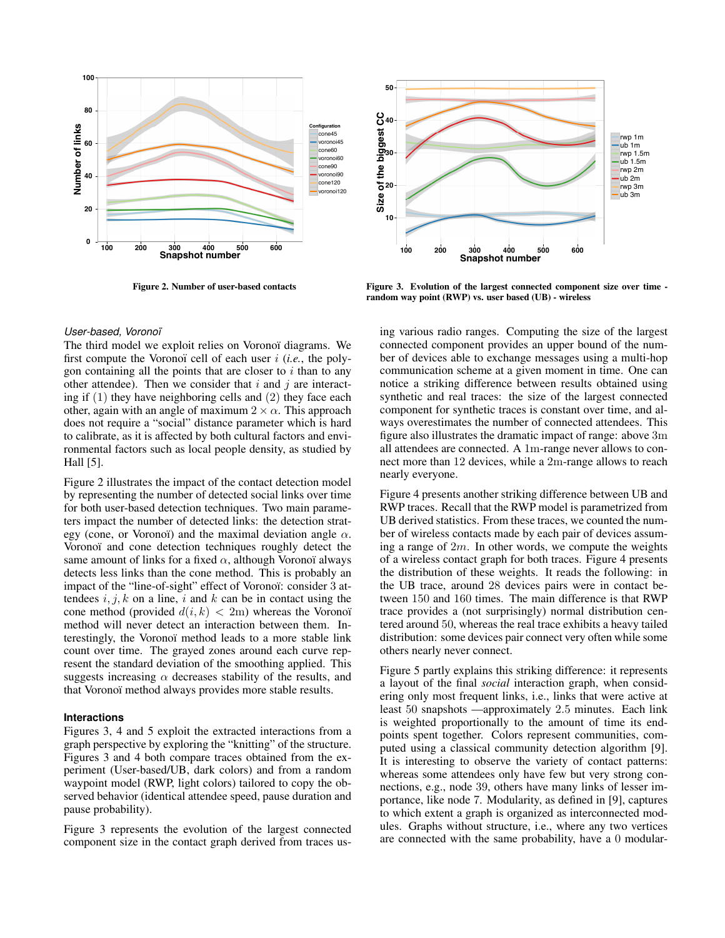

<span id="page-2-0"></span>Figure 2. Number of user-based contacts

### *User-based, Vorono¨ı*

The third model we exploit relies on Voronoï diagrams. We first compute the Voronoï cell of each user  $i$  (*i.e.*, the polygon containing all the points that are closer to  $i$  than to any other attendee). Then we consider that  $i$  and  $j$  are interacting if (1) they have neighboring cells and (2) they face each other, again with an angle of maximum  $2 \times \alpha$ . This approach does not require a "social" distance parameter which is hard to calibrate, as it is affected by both cultural factors and environmental factors such as local people density, as studied by Hall [\[5\]](#page-3-9).

Figure [2](#page-2-0) illustrates the impact of the contact detection model by representing the number of detected social links over time for both user-based detection techniques. Two main parameters impact the number of detected links: the detection strategy (cone, or Voronoï) and the maximal deviation angle  $\alpha$ . Voronoï and cone detection techniques roughly detect the same amount of links for a fixed  $\alpha$ , although Voronoï always detects less links than the cone method. This is probably an impact of the "line-of-sight" effect of Voronoï: consider 3 attendees  $i, j, k$  on a line, i and k can be in contact using the cone method (provided  $d(i, k) < 2m$ ) whereas the Voronoï method will never detect an interaction between them. Interestingly, the Voronoï method leads to a more stable link count over time. The grayed zones around each curve represent the standard deviation of the smoothing applied. This suggests increasing  $\alpha$  decreases stability of the results, and that Voronoï method always provides more stable results.

#### **Interactions**

Figures [3,](#page-2-1) [4](#page-3-10) and [5](#page-3-11) exploit the extracted interactions from a graph perspective by exploring the "knitting" of the structure. Figures [3](#page-2-1) and [4](#page-3-10) both compare traces obtained from the experiment (User-based/UB, dark colors) and from a random waypoint model (RWP, light colors) tailored to copy the observed behavior (identical attendee speed, pause duration and pause probability).

Figure [3](#page-2-1) represents the evolution of the largest connected component size in the contact graph derived from traces us-



<span id="page-2-1"></span>Figure 3. Evolution of the largest connected component size over time random way point (RWP) vs. user based (UB) - wireless

ing various radio ranges. Computing the size of the largest connected component provides an upper bound of the number of devices able to exchange messages using a multi-hop communication scheme at a given moment in time. One can notice a striking difference between results obtained using synthetic and real traces: the size of the largest connected component for synthetic traces is constant over time, and always overestimates the number of connected attendees. This figure also illustrates the dramatic impact of range: above 3m all attendees are connected. A 1m-range never allows to connect more than 12 devices, while a 2m-range allows to reach nearly everyone.

Figure [4](#page-3-10) presents another striking difference between UB and RWP traces. Recall that the RWP model is parametrized from UB derived statistics. From these traces, we counted the number of wireless contacts made by each pair of devices assuming a range of  $2m$ . In other words, we compute the weights of a wireless contact graph for both traces. Figure [4](#page-3-10) presents the distribution of these weights. It reads the following: in the UB trace, around 28 devices pairs were in contact between 150 and 160 times. The main difference is that RWP trace provides a (not surprisingly) normal distribution centered around 50, whereas the real trace exhibits a heavy tailed distribution: some devices pair connect very often while some others nearly never connect.

Figure [5](#page-3-11) partly explains this striking difference: it represents a layout of the final *social* interaction graph, when considering only most frequent links, i.e., links that were active at least 50 snapshots —approximately 2.5 minutes. Each link is weighted proportionally to the amount of time its endpoints spent together. Colors represent communities, computed using a classical community detection algorithm [\[9\]](#page-3-12). It is interesting to observe the variety of contact patterns: whereas some attendees only have few but very strong connections, e.g., node 39, others have many links of lesser importance, like node 7. Modularity, as defined in [\[9\]](#page-3-12), captures to which extent a graph is organized as interconnected modules. Graphs without structure, i.e., where any two vertices are connected with the same probability, have a 0 modular-